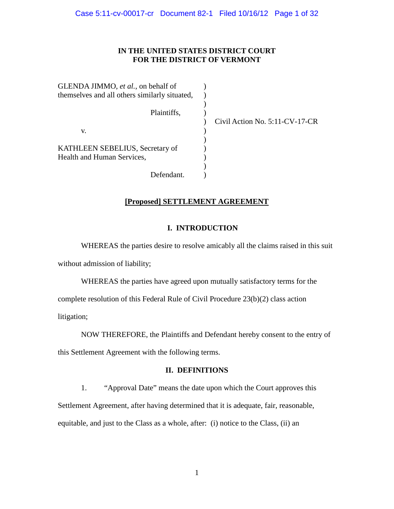# **IN THE UNITED STATES DISTRICT COURT FOR THE DISTRICT OF VERMONT**

GLENDA JIMMO, *et al.*, on behalf of themselves and all others similarly situated, Plaintiffs, v. KATHLEEN SEBELIUS, Secretary of Health and Human Services, Defendant.  $\lambda$  $\mathcal{L}$  $\mathcal{L}$  $\mathcal{L}$  $\mathcal{L}$  $\lambda$ )  $\mathcal{L}$  $\mathcal{L}$  $\mathcal{L}$ 

) Civil Action No. 5:11-CV-17-CR

# **[Proposed] SETTLEMENT AGREEMENT**

# **I. INTRODUCTION**

 WHEREAS the parties desire to resolve amicably all the claims raised in this suit without admission of liability;

WHEREAS the parties have agreed upon mutually satisfactory terms for the complete resolution of this Federal Rule of Civil Procedure 23(b)(2) class action litigation;

NOW THEREFORE, the Plaintiffs and Defendant hereby consent to the entry of this Settlement Agreement with the following terms.

# **II. DEFINITIONS**

1. "Approval Date" means the date upon which the Court approves this Settlement Agreement, after having determined that it is adequate, fair, reasonable, equitable, and just to the Class as a whole, after: (i) notice to the Class, (ii) an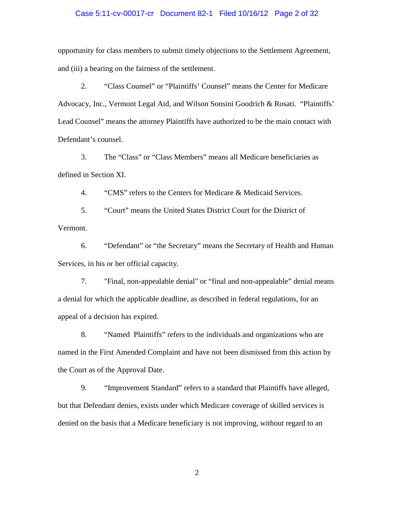## Case 5:11-cv-00017-cr Document 82-1 Filed 10/16/12 Page 2 of 32

opportunity for class members to submit timely objections to the Settlement Agreement, and (iii) a hearing on the fairness of the settlement.

2. "Class Counsel" or "Plaintiffs' Counsel" means the Center for Medicare Advocacy, Inc., Vermont Legal Aid, and Wilson Sonsini Goodrich & Rosati. "Plaintiffs' Lead Counsel" means the attorney Plaintiffs have authorized to be the main contact with Defendant's counsel.

3. The "Class" or "Class Members" means all Medicare beneficiaries as defined in Section [XI.](#page-23-0)

4. "CMS" refers to the Centers for Medicare & Medicaid Services.

5. "Court" means the United States District Court for the District of Vermont.

6. "Defendant" or "the Secretary" means the Secretary of Health and Human Services, in his or her official capacity.

7. "Final, non-appealable denial" or "final and non-appealable" denial means a denial for which the applicable deadline, as described in federal regulations, for an appeal of a decision has expired.

8. "Named Plaintiffs" refers to the individuals and organizations who are named in the First Amended Complaint and have not been dismissed from this action by the Court as of the Approval Date.

9. "Improvement Standard" refers to a standard that Plaintiffs have alleged, but that Defendant denies, exists under which Medicare coverage of skilled services is denied on the basis that a Medicare beneficiary is not improving, without regard to an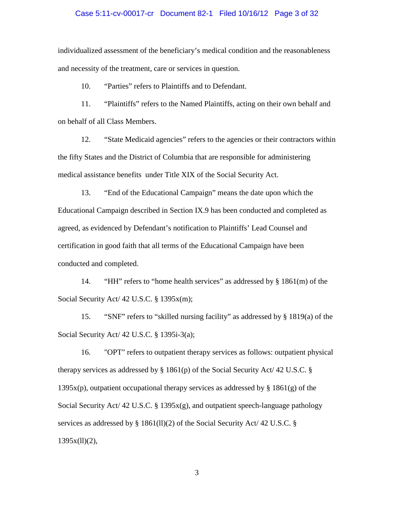## Case 5:11-cv-00017-cr Document 82-1 Filed 10/16/12 Page 3 of 32

individualized assessment of the beneficiary's medical condition and the reasonableness and necessity of the treatment, care or services in question.

10. "Parties" refers to Plaintiffs and to Defendant.

11. "Plaintiffs" refers to the Named Plaintiffs, acting on their own behalf and on behalf of all Class Members.

12. "State Medicaid agencies" refers to the agencies or their contractors within the fifty States and the District of Columbia that are responsible for administering medical assistance benefits under Title XIX of the Social Security Act.

13. "End of the Educational Campaign" means the date upon which the Educational Campaign described in Section [IX.](#page-7-0)[9](#page-13-0) has been conducted and completed as agreed, as evidenced by Defendant's notification to Plaintiffs' Lead Counsel and certification in good faith that all terms of the Educational Campaign have been conducted and completed.

14. "HH" refers to "home health services" as addressed by § 1861(m) of the Social Security Act/ 42 U.S.C. § 1395 $x(m)$ ;

15. "SNF" refers to "skilled nursing facility" as addressed by § 1819(a) of the Social Security Act/ 42 U.S.C. § 1395i-3(a);

16. "OPT" refers to outpatient therapy services as follows: outpatient physical therapy services as addressed by § 1861(p) of the Social Security Act/ 42 U.S.C. §  $1395x(p)$ , outpatient occupational therapy services as addressed by § 1861(g) of the Social Security Act/ 42 U.S.C. § 1395 $x(g)$ , and outpatient speech-language pathology services as addressed by § 1861(ll)(2) of the Social Security Act/ 42 U.S.C. §  $1395x(11)(2)$ ,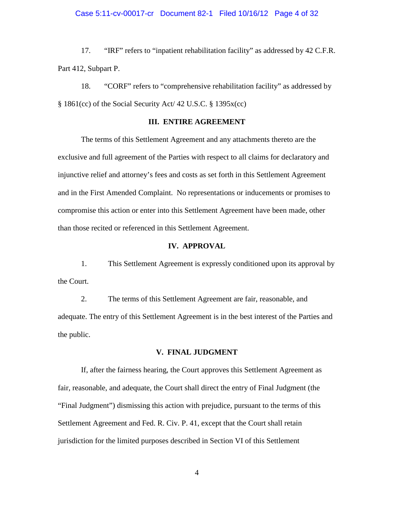## Case 5:11-cv-00017-cr Document 82-1 Filed 10/16/12 Page 4 of 32

17. "IRF" refers to "inpatient rehabilitation facility" as addressed by 42 C.F.R. Part 412, Subpart P.

 § 1861(cc) of the Social Security Act/ 42 U.S.C. § 1395x(cc) 18. "CORF" refers to "comprehensive rehabilitation facility" as addressed by

# **III. ENTIRE AGREEMENT**

 compromise this action or enter into this Settlement Agreement have been made, other The terms of this Settlement Agreement and any attachments thereto are the exclusive and full agreement of the Parties with respect to all claims for declaratory and injunctive relief and attorney's fees and costs as set forth in this Settlement Agreement and in the First Amended Complaint. No representations or inducements or promises to than those recited or referenced in this Settlement Agreement.

# **IV. APPROVAL**

1. This Settlement Agreement is expressly conditioned upon its approval by the Court.

2. The terms of this Settlement Agreement are fair, reasonable, and adequate. The entry of this Settlement Agreement is in the best interest of the Parties and the public.

# **V. FINAL JUDGMENT**

 If, after the fairness hearing, the Court approves this Settlement Agreement as fair, reasonable, and adequate, the Court shall direct the entry of Final Judgment (the "Final Judgment") dismissing this action with prejudice, pursuant to the terms of this Settlement Agreement and Fed. R. Civ. P. 41, except that the Court shall retain jurisdiction for the limited purposes described in Section [VI](#page-4-0) of this Settlement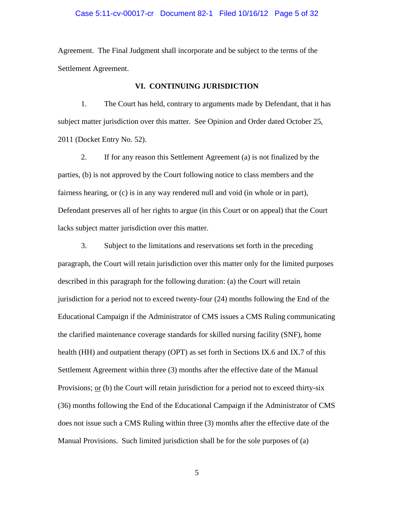### Case 5:11-cv-00017-cr Document 82-1 Filed 10/16/12 Page 5 of 32

Agreement. The Final Judgment shall incorporate and be subject to the terms of the Settlement Agreement.

### **VI. CONTINUING JURISDICTION**

<span id="page-4-0"></span>1. The Court has held, contrary to arguments made by Defendant, that it has subject matter jurisdiction over this matter. See Opinion and Order dated October 25, 2011 (Docket Entry No. 52).

2. If for any reason this Settlement Agreement (a) is not finalized by the parties, (b) is not approved by the Court following notice to class members and the fairness hearing, or (c) is in any way rendered null and void (in whole or in part), Defendant preserves all of her rights to argue (in this Court or on appeal) that the Court lacks subject matter jurisdiction over this matter.

3. Subject to the limitations and reservations set forth in the preceding paragraph, the Court will retain jurisdiction over this matter only for the limited purposes described in this paragraph for the following duration: (a) the Court will retain jurisdiction for a period not to exceed twenty-four (24) months following the End of the Educational Campaign if the Administrator of CMS issues a CMS Ruling communicating the clarified maintenance coverage standards for skilled nursing facility (SNF), home health (HH) and outpatient therapy (OPT) as set forth in Sections IX.6 and IX.7 of this Settlement Agreement within three (3) months after the effective date of the Manual Provisions; or (b) the Court will retain jurisdiction for a period not to exceed thirty-six (36) months following the End of the Educational Campaign if the Administrator of CMS does not issue such a CMS Ruling within three (3) months after the effective date of the Manual Provisions. Such limited jurisdiction shall be for the sole purposes of (a)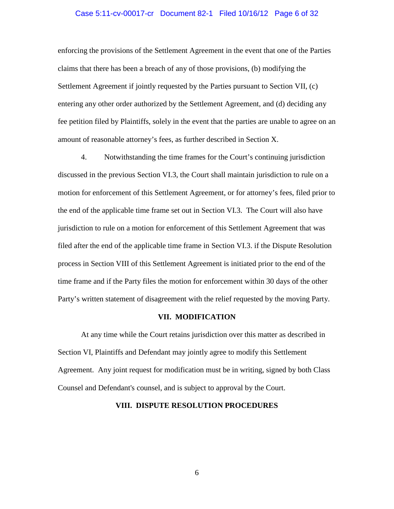## Case 5:11-cv-00017-cr Document 82-1 Filed 10/16/12 Page 6 of 32

 claims that there has been a breach of any of those provisions, (b) modifying the entering any other order authorized by the Settlement Agreement, and (d) deciding any amount of reasonable attorney's fees, as further described in Section [X.](#page-22-0) enforcing the provisions of the Settlement Agreement in the event that one of the Parties Settlement Agreement if jointly requested by the Parties pursuant to Section [VII,](#page-5-0) (c) fee petition filed by Plaintiffs, solely in the event that the parties are unable to agree on an

4. Notwithstanding the time frames for the Court's continuing jurisdiction discussed in the previous Section [VI.](#page-4-0)3, the Court shall maintain jurisdiction to rule on a motion for enforcement of this Settlement Agreement, or for attorney's fees, filed prior to the end of the applicable time frame set out in Section VI.3. The Court will also have jurisdiction to rule on a motion for enforcement of this Settlement Agreement that was filed after the end of the applicable time frame in Section VI.3. if the Dispute Resolution process in Section VIII of this Settlement Agreement is initiated prior to the end of the time frame and if the Party files the motion for enforcement within 30 days of the other Party's written statement of disagreement with the relief requested by the moving Party.

### **VII. MODIFICATION**

<span id="page-5-0"></span>At any time while the Court retains jurisdiction over this matter as described in Section [VI,](#page-4-0) Plaintiffs and Defendant may jointly agree to modify this Settlement Agreement. Any joint request for modification must be in writing, signed by both Class Counsel and Defendant's counsel, and is subject to approval by the Court.

### **VIII. DISPUTE RESOLUTION PROCEDURES**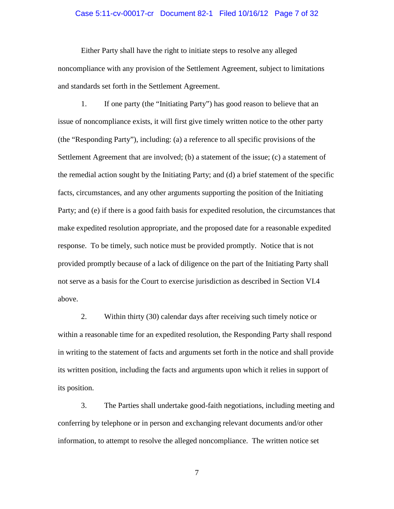### Case 5:11-cv-00017-cr Document 82-1 Filed 10/16/12 Page 7 of 32

Either Party shall have the right to initiate steps to resolve any alleged noncompliance with any provision of the Settlement Agreement, subject to limitations and standards set forth in the Settlement Agreement.

1. If one party (the "Initiating Party") has good reason to believe that an issue of noncompliance exists, it will first give timely written notice to the other party (the "Responding Party"), including: (a) a reference to all specific provisions of the Settlement Agreement that are involved; (b) a statement of the issue; (c) a statement of the remedial action sought by the Initiating Party; and (d) a brief statement of the specific facts, circumstances, and any other arguments supporting the position of the Initiating Party; and (e) if there is a good faith basis for expedited resolution, the circumstances that make expedited resolution appropriate, and the proposed date for a reasonable expedited response. To be timely, such notice must be provided promptly. Notice that is not provided promptly because of a lack of diligence on the part of the Initiating Party shall not serve as a basis for the Court to exercise jurisdiction as described in Section [VI.](#page-4-0)4 above.

2. Within thirty (30) calendar days after receiving such timely notice or within a reasonable time for an expedited resolution, the Responding Party shall respond in writing to the statement of facts and arguments set forth in the notice and shall provide its written position, including the facts and arguments upon which it relies in support of its position.

3. The Parties shall undertake good-faith negotiations, including meeting and conferring by telephone or in person and exchanging relevant documents and/or other information, to attempt to resolve the alleged noncompliance. The written notice set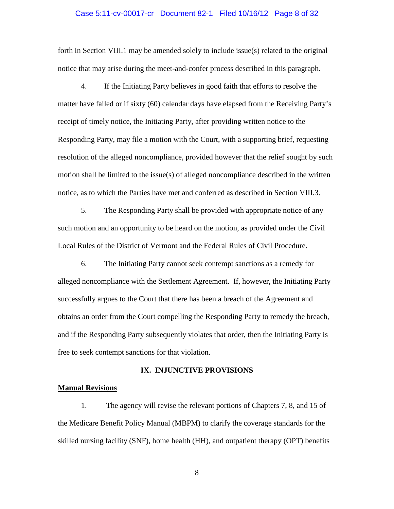## Case 5:11-cv-00017-cr Document 82-1 Filed 10/16/12 Page 8 of 32

forth in Section VIII.1 may be amended solely to include issue(s) related to the original notice that may arise during the meet-and-confer process described in this paragraph.

4. If the Initiating Party believes in good faith that efforts to resolve the matter have failed or if sixty (60) calendar days have elapsed from the Receiving Party's receipt of timely notice, the Initiating Party, after providing written notice to the Responding Party, may file a motion with the Court, with a supporting brief, requesting resolution of the alleged noncompliance, provided however that the relief sought by such motion shall be limited to the issue(s) of alleged noncompliance described in the written notice, as to which the Parties have met and conferred as described in Section VIII.3.

5. The Responding Party shall be provided with appropriate notice of any such motion and an opportunity to be heard on the motion, as provided under the Civil Local Rules of the District of Vermont and the Federal Rules of Civil Procedure.

6. The Initiating Party cannot seek contempt sanctions as a remedy for alleged noncompliance with the Settlement Agreement. If, however, the Initiating Party successfully argues to the Court that there has been a breach of the Agreement and obtains an order from the Court compelling the Responding Party to remedy the breach, and if the Responding Party subsequently violates that order, then the Initiating Party is free to seek contempt sanctions for that violation.

#### **IX. INJUNCTIVE PROVISIONS**

### <span id="page-7-0"></span>**Manual Revisions**

1. The agency will revise the relevant portions of Chapters 7, 8, and 15 of the Medicare Benefit Policy Manual (MBPM) to clarify the coverage standards for the skilled nursing facility (SNF), home health (HH), and outpatient therapy (OPT) benefits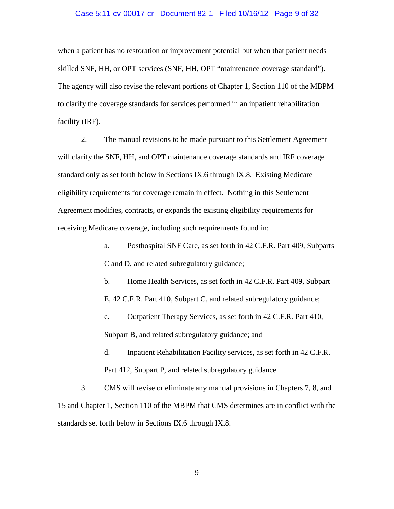### Case 5:11-cv-00017-cr Document 82-1 Filed 10/16/12 Page 9 of 32

when a patient has no restoration or improvement potential but when that patient needs skilled SNF, HH, or OPT services (SNF, HH, OPT "maintenance coverage standard"). The agency will also revise the relevant portions of Chapter 1, Section 110 of the MBPM to clarify the coverage standards for services performed in an inpatient rehabilitation facility (IRF).

2. The manual revisions to be made pursuant to this Settlement Agreement will clarify the SNF, HH, and OPT maintenance coverage standards and IRF coverage standard only as set forth below in Sections IX[.6](#page-9-0) through IX[.8.](#page-13-1) Existing Medicare eligibility requirements for coverage remain in effect. Nothing in this Settlement Agreement modifies, contracts, or expands the existing eligibility requirements for receiving Medicare coverage, including such requirements found in:

> a. Posthospital SNF Care, as set forth in 42 C.F.R. Part 409, Subparts C and D, and related subregulatory guidance;

b. Home Health Services, as set forth in 42 C.F.R. Part 409, Subpart E, 42 C.F.R. Part 410, Subpart C, and related subregulatory guidance;

c. Outpatient Therapy Services, as set forth in 42 C.F.R. Part 410, Subpart B, and related subregulatory guidance; and

d. Inpatient Rehabilitation Facility services, as set forth in 42 C.F.R. Part 412, Subpart P, and related subregulatory guidance.

3. CMS will revise or eliminate any manual provisions in Chapters 7, 8, and 15 and Chapter 1, Section 110 of the MBPM that CMS determines are in conflict with the standards set forth below in Sections IX[.6](#page-9-0) through IX[.8.](#page-13-1)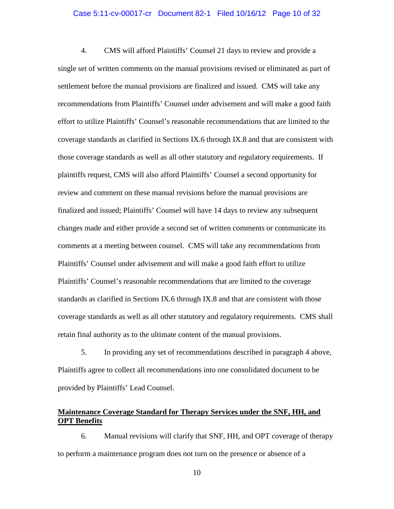#### Case 5:11-cv-00017-cr Document 82-1 Filed 10/16/12 Page 10 of 32

<span id="page-9-1"></span>4. CMS will afford Plaintiffs' Counsel 21 days to review and provide a single set of written comments on the manual provisions revised or eliminated as part of settlement before the manual provisions are finalized and issued. CMS will take any recommendations from Plaintiffs' Counsel under advisement and will make a good faith effort to utilize Plaintiffs' Counsel's reasonable recommendations that are limited to the coverage standards as clarified in Sections IX[.6](#page-9-0) through IX[.8](#page-13-1) and that are consistent with those coverage standards as well as all other statutory and regulatory requirements. If plaintiffs request, CMS will also afford Plaintiffs' Counsel a second opportunity for review and comment on these manual revisions before the manual provisions are finalized and issued; Plaintiffs' Counsel will have 14 days to review any subsequent changes made and either provide a second set of written comments or communicate its comments at a meeting between counsel. CMS will take any recommendations from Plaintiffs' Counsel under advisement and will make a good faith effort to utilize Plaintiffs' Counsel's reasonable recommendations that are limited to the coverage standards as clarified in Sections IX[.6](#page-9-0) through IX[.8](#page-13-1) and that are consistent with those coverage standards as well as all other statutory and regulatory requirements. CMS shall retain final authority as to the ultimate content of the manual provisions.

5. In providing any set of recommendations described in paragraph [4](#page-9-1) above, Plaintiffs agree to collect all recommendations into one consolidated document to be provided by Plaintiffs' Lead Counsel.

# **Maintenance Coverage Standard for Therapy Services under the SNF, HH, and OPT Benefits**

<span id="page-9-0"></span>6. Manual revisions will clarify that SNF, HH, and OPT coverage of therapy to perform a maintenance program does not turn on the presence or absence of a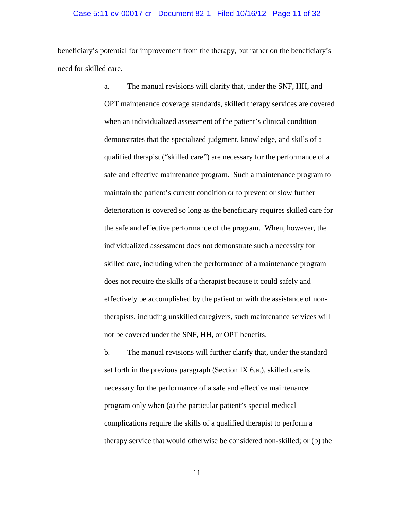### Case 5:11-cv-00017-cr Document 82-1 Filed 10/16/12 Page 11 of 32

beneficiary's potential for improvement from the therapy, but rather on the beneficiary's need for skilled care.

> a. The manual revisions will clarify that, under the SNF, HH, and OPT maintenance coverage standards, skilled therapy services are covered when an individualized assessment of the patient's clinical condition demonstrates that the specialized judgment, knowledge, and skills of a qualified therapist ("skilled care") are necessary for the performance of a safe and effective maintenance program. Such a maintenance program to maintain the patient's current condition or to prevent or slow further deterioration is covered so long as the beneficiary requires skilled care for the safe and effective performance of the program. When, however, the individualized assessment does not demonstrate such a necessity for skilled care, including when the performance of a maintenance program does not require the skills of a therapist because it could safely and effectively be accomplished by the patient or with the assistance of nontherapists, including unskilled caregivers, such maintenance services will not be covered under the SNF, HH, or OPT benefits.

b. The manual revisions will further clarify that, under the standard set forth in the previous paragraph (Section IX.6.a.), skilled care is necessary for the performance of a safe and effective maintenance program only when (a) the particular patient's special medical complications require the skills of a qualified therapist to perform a therapy service that would otherwise be considered non-skilled; or (b) the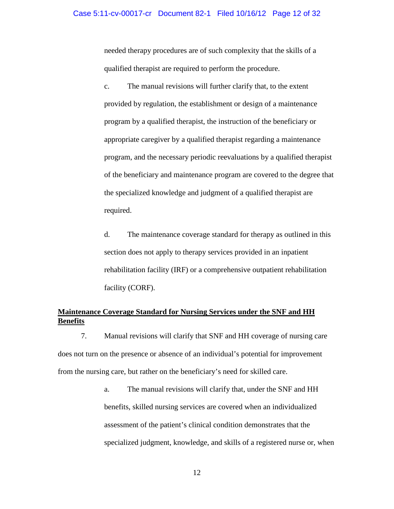needed therapy procedures are of such complexity that the skills of a qualified therapist are required to perform the procedure.

c. The manual revisions will further clarify that, to the extent provided by regulation, the establishment or design of a maintenance program by a qualified therapist, the instruction of the beneficiary or appropriate caregiver by a qualified therapist regarding a maintenance program, and the necessary periodic reevaluations by a qualified therapist of the beneficiary and maintenance program are covered to the degree that the specialized knowledge and judgment of a qualified therapist are required.

d. The maintenance coverage standard for therapy as outlined in this section does not apply to therapy services provided in an inpatient rehabilitation facility (IRF) or a comprehensive outpatient rehabilitation facility (CORF).

# **Maintenance Coverage Standard for Nursing Services under the SNF and HH Benefits**

<span id="page-11-0"></span>7. Manual revisions will clarify that SNF and HH coverage of nursing care does not turn on the presence or absence of an individual's potential for improvement from the nursing care, but rather on the beneficiary's need for skilled care.

> a. The manual revisions will clarify that, under the SNF and HH benefits, skilled nursing services are covered when an individualized assessment of the patient's clinical condition demonstrates that the specialized judgment, knowledge, and skills of a registered nurse or, when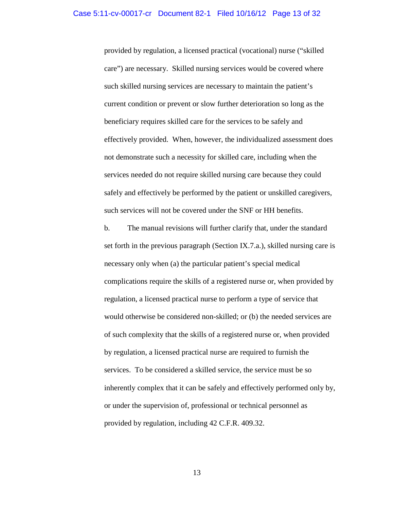provided by regulation, a licensed practical (vocational) nurse ("skilled care") are necessary. Skilled nursing services would be covered where such skilled nursing services are necessary to maintain the patient's current condition or prevent or slow further deterioration so long as the beneficiary requires skilled care for the services to be safely and effectively provided. When, however, the individualized assessment does not demonstrate such a necessity for skilled care, including when the services needed do not require skilled nursing care because they could safely and effectively be performed by the patient or unskilled caregivers, such services will not be covered under the SNF or HH benefits.

b. The manual revisions will further clarify that, under the standard set forth in the previous paragraph (Section IX.7.a.), skilled nursing care is necessary only when (a) the particular patient's special medical complications require the skills of a registered nurse or, when provided by regulation, a licensed practical nurse to perform a type of service that would otherwise be considered non-skilled; or (b) the needed services are of such complexity that the skills of a registered nurse or, when provided by regulation, a licensed practical nurse are required to furnish the services. To be considered a skilled service, the service must be so inherently complex that it can be safely and effectively performed only by, or under the supervision of, professional or technical personnel as provided by regulation, including 42 C.F.R. 409.32.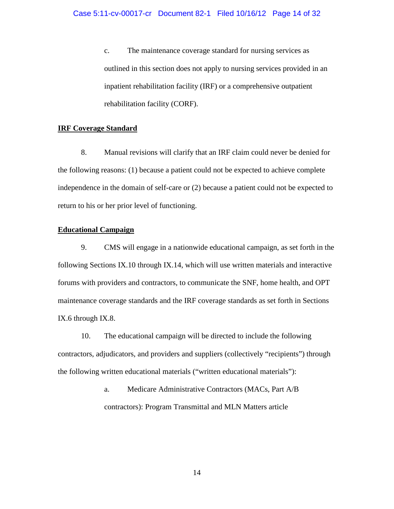c. The maintenance coverage standard for nursing services as outlined in this section does not apply to nursing services provided in an inpatient rehabilitation facility (IRF) or a comprehensive outpatient rehabilitation facility (CORF).

# <span id="page-13-1"></span>**IRF Coverage Standard**

 8. Manual revisions will clarify that an IRF claim could never be denied for the following reasons: (1) because a patient could not be expected to achieve complete independence in the domain of self-care or (2) because a patient could not be expected to return to his or her prior level of functioning.

# **Educational Campaign**

<span id="page-13-0"></span>9. CMS will engage in a nationwide educational campaign, as set forth in the following Sections [IX.](#page-7-0)[10](#page-13-2) through [IX.](#page-7-0)[14,](#page-16-0) which will use written materials and interactive forums with providers and contractors, to communicate the SNF, home health, and OPT maintenance coverage standards and the IRF coverage standards as set forth in Sections IX[.6](#page-9-0) through IX[.8.](#page-13-1)

<span id="page-13-2"></span>10. The educational campaign will be directed to include the following contractors, adjudicators, and providers and suppliers (collectively "recipients") through the following written educational materials ("written educational materials"):

> a. Medicare Administrative Contractors (MACs, Part A/B contractors): Program Transmittal and MLN Matters article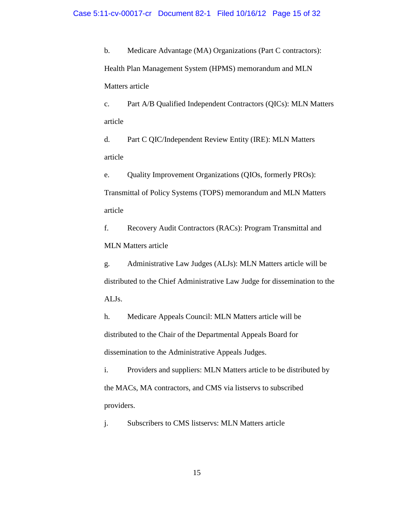b. Medicare Advantage (MA) Organizations (Part C contractors): Health Plan Management System (HPMS) memorandum and MLN Matters article

c. Part A/B Qualified Independent Contractors (QICs): MLN Matters article

d. Part C QIC/Independent Review Entity (IRE): MLN Matters article

e. Quality Improvement Organizations (QIOs, formerly PROs): Transmittal of Policy Systems (TOPS) memorandum and MLN Matters article

f. Recovery Audit Contractors (RACs): Program Transmittal and MLN Matters article

g. Administrative Law Judges (ALJs): MLN Matters article will be distributed to the Chief Administrative Law Judge for dissemination to the ALJs.

h. Medicare Appeals Council: MLN Matters article will be distributed to the Chair of the Departmental Appeals Board for dissemination to the Administrative Appeals Judges.

i. Providers and suppliers: MLN Matters article to be distributed by the MACs, MA contractors, and CMS via listservs to subscribed providers.

j. Subscribers to CMS listservs: MLN Matters article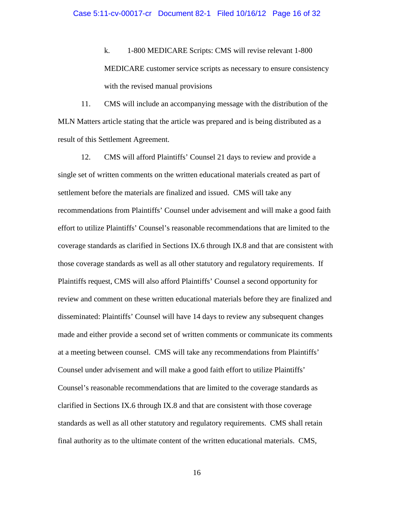k. 1-800 MEDICARE Scripts: CMS will revise relevant 1-800 MEDICARE customer service scripts as necessary to ensure consistency with the revised manual provisions

11. CMS will include an accompanying message with the distribution of the MLN Matters article stating that the article was prepared and is being distributed as a result of this Settlement Agreement.

<span id="page-15-0"></span>12. CMS will afford Plaintiffs' Counsel 21 days to review and provide a single set of written comments on the written educational materials created as part of settlement before the materials are finalized and issued. CMS will take any recommendations from Plaintiffs' Counsel under advisement and will make a good faith effort to utilize Plaintiffs' Counsel's reasonable recommendations that are limited to the coverage standards as clarified in Sections IX[.6](#page-9-0) through IX[.8](#page-13-1) and that are consistent with those coverage standards as well as all other statutory and regulatory requirements. If Plaintiffs request, CMS will also afford Plaintiffs' Counsel a second opportunity for review and comment on these written educational materials before they are finalized and disseminated: Plaintiffs' Counsel will have 14 days to review any subsequent changes made and either provide a second set of written comments or communicate its comments at a meeting between counsel. CMS will take any recommendations from Plaintiffs' Counsel under advisement and will make a good faith effort to utilize Plaintiffs' Counsel's reasonable recommendations that are limited to the coverage standards as clarified in Sections IX[.6](#page-9-0) through IX[.8](#page-13-1) and that are consistent with those coverage standards as well as all other statutory and regulatory requirements. CMS shall retain final authority as to the ultimate content of the written educational materials. CMS,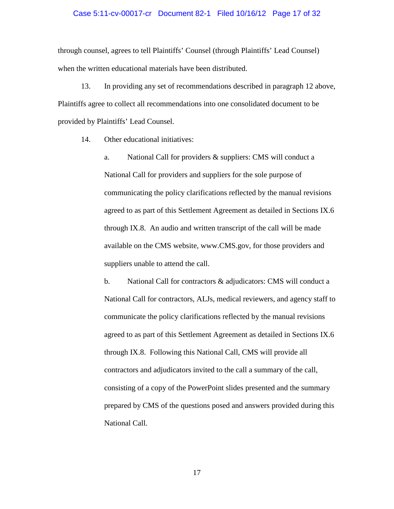### Case 5:11-cv-00017-cr Document 82-1 Filed 10/16/12 Page 17 of 32

through counsel, agrees to tell Plaintiffs' Counsel (through Plaintiffs' Lead Counsel) when the written educational materials have been distributed.

13. In providing any set of recommendations described in paragraph [12](#page-15-0) above, Plaintiffs agree to collect all recommendations into one consolidated document to be provided by Plaintiffs' Lead Counsel.

<span id="page-16-0"></span>14. Other educational initiatives:

a. National Call for providers & suppliers: CMS will conduct a National Call for providers and suppliers for the sole purpose of communicating the policy clarifications reflected by the manual revisions agreed to as part of this Settlement Agreement as detailed in Sections IX.6 through IX.8. An audio and written transcript of the call will be made available on the CMS website, www.CMS.gov, for those providers and suppliers unable to attend the call.

<span id="page-16-1"></span>b. National Call for contractors & adjudicators: CMS will conduct a National Call for contractors, ALJs, medical reviewers, and agency staff to communicate the policy clarifications reflected by the manual revisions agreed to as part of this Settlement Agreement as detailed in Sections IX.6 through IX.8. Following this National Call, CMS will provide all contractors and adjudicators invited to the call a summary of the call, consisting of a copy of the PowerPoint slides presented and the summary prepared by CMS of the questions posed and answers provided during this National Call.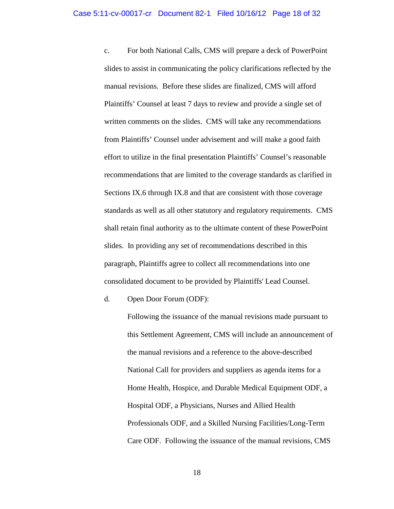<span id="page-17-0"></span>c. For both National Calls, CMS will prepare a deck of PowerPoint slides to assist in communicating the policy clarifications reflected by the manual revisions. Before these slides are finalized, CMS will afford Plaintiffs' Counsel at least 7 days to review and provide a single set of written comments on the slides. CMS will take any recommendations from Plaintiffs' Counsel under advisement and will make a good faith effort to utilize in the final presentation Plaintiffs' Counsel's reasonable recommendations that are limited to the coverage standards as clarified in Sections IX[.6](#page-9-0) through IX[.8](#page-13-1) and that are consistent with those coverage standards as well as all other statutory and regulatory requirements. CMS shall retain final authority as to the ultimate content of these PowerPoint slides. In providing any set of recommendations described in this paragraph, Plaintiffs agree to collect all recommendations into one consolidated document to be provided by Plaintiffs' Lead Counsel.

d. Open Door Forum (ODF):

Following the issuance of the manual revisions made pursuant to this Settlement Agreement, CMS will include an announcement of the manual revisions and a reference to the above-described National Call for providers and suppliers as agenda items for a Home Health, Hospice, and Durable Medical Equipment ODF, a Hospital ODF, a Physicians, Nurses and Allied Health Professionals ODF, and a Skilled Nursing Facilities/Long-Term Care ODF. Following the issuance of the manual revisions, CMS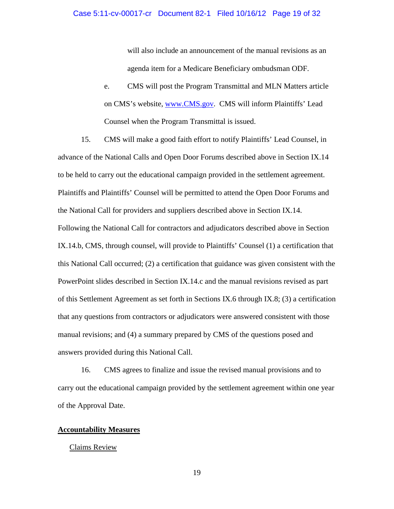will also include an announcement of the manual revisions as an agenda item for a Medicare Beneficiary ombudsman ODF.

e. CMS will post the Program Transmittal and MLN Matters article on CMS's website, [www.CMS.gov.](http://www.cms.gov/) CMS will inform Plaintiffs' Lead Counsel when the Program Transmittal is issued.

15. CMS will make a good faith effort to notify Plaintiffs' Lead Counsel, in advance of the National Calls and Open Door Forums described above in Section IX[.14](#page-16-0)  to be held to carry out the educational campaign provided in the settlement agreement. Plaintiffs and Plaintiffs' Counsel will be permitted to attend the Open Door Forums and the National Call for providers and suppliers described above in Section [IX](#page-7-0)[.14.](#page-16-0) Following the National Call for contractors and adjudicators described above in Section [IX](#page-7-0)[.14.b,](#page-16-1) CMS, through counsel, will provide to Plaintiffs' Counsel (1) a certification that this National Call occurred; (2) a certification that guidance was given consistent with the PowerPoint slides described in Section [IX.](#page-7-0)[14.c](#page-17-0) and the manual revisions revised as part of this Settlement Agreement as set forth in Sections IX.6 through IX.8; (3) a certification that any questions from contractors or adjudicators were answered consistent with those manual revisions; and (4) a summary prepared by CMS of the questions posed and answers provided during this National Call.

16. CMS agrees to finalize and issue the revised manual provisions and to carry out the educational campaign provided by the settlement agreement within one year of the Approval Date.

# **Accountability Measures**

# Claims Review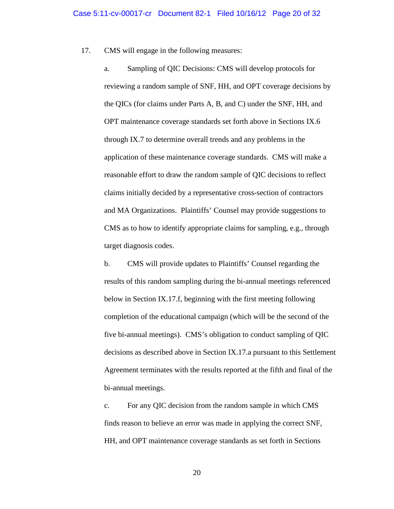<span id="page-19-0"></span>17. CMS will engage in the following measures:

a. Sampling of QIC Decisions: CMS will develop protocols for reviewing a random sample of SNF, HH, and OPT coverage decisions by the QICs (for claims under Parts A, B, and C) under the SNF, HH, and OPT maintenance coverage standards set forth above in Sections IX[.6](#page-9-0)  through IX[.7](#page-11-0) to determine overall trends and any problems in the application of these maintenance coverage standards. CMS will make a reasonable effort to draw the random sample of QIC decisions to reflect claims initially decided by a representative cross-section of contractors and MA Organizations. Plaintiffs' Counsel may provide suggestions to CMS as to how to identify appropriate claims for sampling, e.g., through target diagnosis codes.

b. CMS will provide updates to Plaintiffs' Counsel regarding the results of this random sampling during the bi-annual meetings referenced below in Section IX.17.f, beginning with the first meeting following completion of the educational campaign (which will be the second of the five bi-annual meetings). CMS's obligation to conduct sampling of QIC decisions as described above in Section IX.17[.a](#page-19-0) pursuant to this Settlement Agreement terminates with the results reported at the fifth and final of the bi-annual meetings.

c. For any QIC decision from the random sample in which CMS finds reason to believe an error was made in applying the correct SNF, HH, and OPT maintenance coverage standards as set forth in Sections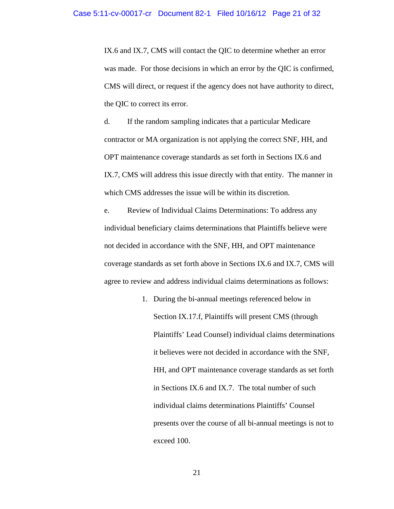IX.6 and IX.7, CMS will contact the QIC to determine whether an error was made. For those decisions in which an error by the QIC is confirmed, CMS will direct, or request if the agency does not have authority to direct, the QIC to correct its error.

d. If the random sampling indicates that a particular Medicare contractor or MA organization is not applying the correct SNF, HH, and OPT maintenance coverage standards as set forth in Sections IX.6 and IX.7, CMS will address this issue directly with that entity. The manner in which CMS addresses the issue will be within its discretion.

<span id="page-20-0"></span>e. Review of Individual Claims Determinations: To address any individual beneficiary claims determinations that Plaintiffs believe were not decided in accordance with the SNF, HH, and OPT maintenance coverage standards as set forth above in Sections IX[.6](#page-9-0) and IX[.7,](#page-11-0) CMS will agree to review and address individual claims determinations as follows:

> 1. During the bi-annual meetings referenced below in Section IX.17.f, Plaintiffs will present CMS (through Plaintiffs' Lead Counsel) individual claims determinations it believes were not decided in accordance with the SNF, HH, and OPT maintenance coverage standards as set forth in Sections IX.6 and IX.7. The total number of such individual claims determinations Plaintiffs' Counsel presents over the course of all bi-annual meetings is not to exceed 100.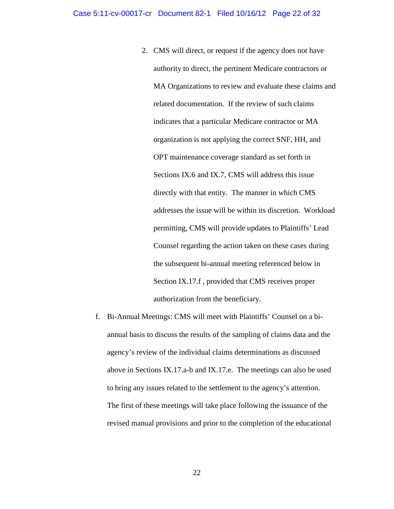- 2. CMS will direct, or request if the agency does not have authority to direct, the pertinent Medicare contractors or MA Organizations to review and evaluate these claims and related documentation. If the review of such claims indicates that a particular Medicare contractor or MA organization is not applying the correct SNF, HH, and OPT maintenance coverage standard as set forth in Sections IX.6 and IX.7, CMS will address this issue directly with that entity. The manner in which CMS addresses the issue will be within its discretion. Workload permitting, CMS will provide updates to Plaintiffs' Lead Counsel regarding the action taken on these cases during the subsequent bi-annual meeting referenced below in Section IX.17[.f](#page-21-0) , provided that CMS receives proper authorization from the beneficiary.
- <span id="page-21-0"></span>f. Bi-Annual Meetings: CMS will meet with Plaintiffs' Counsel on a biannual basis to discuss the results of the sampling of claims data and the agency's review of the individual claims determinations as discussed above in Sections IX.17[.a-](#page-19-0)b and IX.17[.e.](#page-20-0) The meetings can also be used to bring any issues related to the settlement to the agency's attention. The first of these meetings will take place following the issuance of the revised manual provisions and prior to the completion of the educational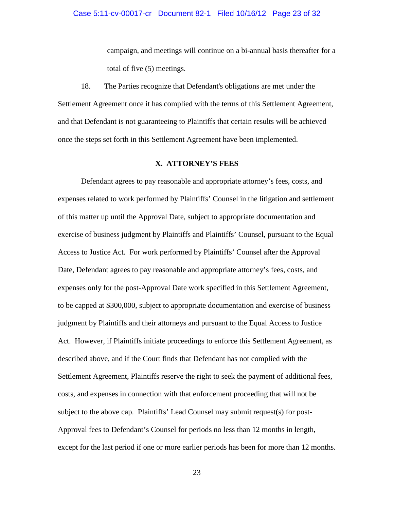campaign, and meetings will continue on a bi-annual basis thereafter for a total of five (5) meetings.

18. The Parties recognize that Defendant's obligations are met under the Settlement Agreement once it has complied with the terms of this Settlement Agreement, and that Defendant is not guaranteeing to Plaintiffs that certain results will be achieved once the steps set forth in this Settlement Agreement have been implemented.

## **X. ATTORNEY'S FEES**

<span id="page-22-0"></span> expenses only for the post-Approval Date work specified in this Settlement Agreement, judgment by Plaintiffs and their attorneys and pursuant to the Equal Access to Justice Defendant agrees to pay reasonable and appropriate attorney's fees, costs, and expenses related to work performed by Plaintiffs' Counsel in the litigation and settlement of this matter up until the Approval Date, subject to appropriate documentation and exercise of business judgment by Plaintiffs and Plaintiffs' Counsel, pursuant to the Equal Access to Justice Act. For work performed by Plaintiffs' Counsel after the Approval Date, Defendant agrees to pay reasonable and appropriate attorney's fees, costs, and to be capped at \$300,000, subject to appropriate documentation and exercise of business Act. However, if Plaintiffs initiate proceedings to enforce this Settlement Agreement, as described above, and if the Court finds that Defendant has not complied with the Settlement Agreement, Plaintiffs reserve the right to seek the payment of additional fees, costs, and expenses in connection with that enforcement proceeding that will not be subject to the above cap. Plaintiffs' Lead Counsel may submit request(s) for post-Approval fees to Defendant's Counsel for periods no less than 12 months in length, except for the last period if one or more earlier periods has been for more than 12 months.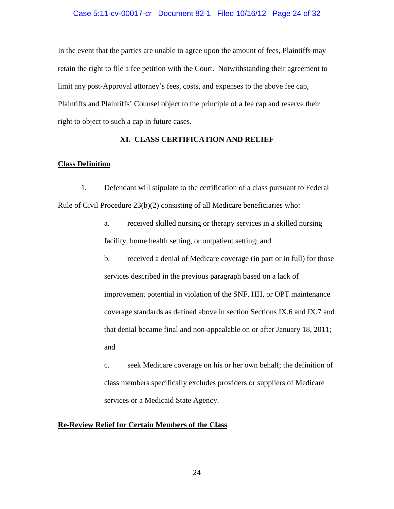## Case 5:11-cv-00017-cr Document 82-1 Filed 10/16/12 Page 24 of 32

In the event that the parties are unable to agree upon the amount of fees, Plaintiffs may retain the right to file a fee petition with the Court. Notwithstanding their agreement to limit any post-Approval attorney's fees, costs, and expenses to the above fee cap, Plaintiffs and Plaintiffs' Counsel object to the principle of a fee cap and reserve their right to object to such a cap in future cases.

# **XI. CLASS CERTIFICATION AND RELIEF**

# <span id="page-23-0"></span>**Class Definition**

<span id="page-23-2"></span>1. Defendant will stipulate to the certification of a class pursuant to Federal Rule of Civil Procedure  $23(b)(2)$  consisting of all Medicare beneficiaries who:

> a. received skilled nursing or therapy services in a skilled nursing facility, home health setting, or outpatient setting; and

<span id="page-23-1"></span>b. received a denial of Medicare coverage (in part or in full) for those services described in the previous paragraph based on a lack of improvement potential in violation of the SNF, HH, or OPT maintenance coverage standards as defined above in section Sections IX[.6](#page-9-0) and IX[.7](#page-11-0) and that denial became final and non-appealable on or after January 18, 2011; and

c. seek Medicare coverage on his or her own behalf; the definition of class members specifically excludes providers or suppliers of Medicare services or a Medicaid State Agency.

# **Re-Review Relief for Certain Members of the Class**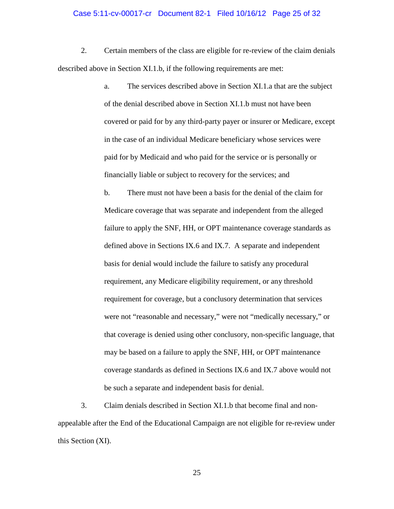### Case 5:11-cv-00017-cr Document 82-1 Filed 10/16/12 Page 25 of 32

2. Certain members of the class are eligible for re-review of the claim denials described above in Section XI[.1.b,](#page-23-1) if the following requirements are met:

> a. The services described above in Section XI[.1.a](#page-23-2) that are the subject of the denial described above in Section XI[.1.b](#page-23-1) must not have been covered or paid for by any third-party payer or insurer or Medicare, except in the case of an individual Medicare beneficiary whose services were paid for by Medicaid and who paid for the service or is personally or financially liable or subject to recovery for the services; and

b. There must not have been a basis for the denial of the claim for Medicare coverage that was separate and independent from the alleged failure to apply the SNF, HH, or OPT maintenance coverage standards as defined above in Sections IX[.6](#page-9-0) and IX[.7.](#page-11-0) A separate and independent basis for denial would include the failure to satisfy any procedural requirement, any Medicare eligibility requirement, or any threshold requirement for coverage, but a conclusory determination that services were not "reasonable and necessary," were not "medically necessary," or that coverage is denied using other conclusory, non-specific language, that may be based on a failure to apply the SNF, HH, or OPT maintenance coverage standards as defined in Sections IX.6 and IX.7 above would not be such a separate and independent basis for denial.

3. Claim denials described in Section XI.1.b that become final and nonappealable after the End of the Educational Campaign are not eligible for re-review under this Section (XI).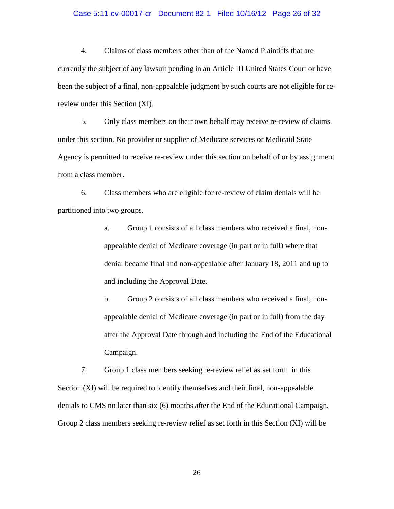### Case 5:11-cv-00017-cr Document 82-1 Filed 10/16/12 Page 26 of 32

<span id="page-25-0"></span> currently the subject of any lawsuit pending in an Article III United States Court or have review under this Section (XI). 4. Claims of class members other than of the Named Plaintiffs that are been the subject of a final, non-appealable judgment by such courts are not eligible for re-

<span id="page-25-1"></span>5. Only class members on their own behalf may receive re-review of claims under this section. No provider or supplier of Medicare services or Medicaid State Agency is permitted to receive re-review under this section on behalf of or by assignment from a class member.

 partitioned into two groups. 6. Class members who are eligible for re-review of claim denials will be

> a. Group 1 consists of all class members who received a final, non- appealable denial of Medicare coverage (in part or in full) where that denial became final and non-appealable after January 18, 2011 and up to and including the Approval Date.

 after the Approval Date through and including the End of the Educational b. Group 2 consists of all class members who received a final, nonappealable denial of Medicare coverage (in part or in full) from the day Campaign.

<span id="page-25-2"></span> 7. Group 1 class members seeking re-review relief as set forth in this Group 2 class members seeking re-review relief as set forth in this Section (XI) will be Section (XI) will be required to identify themselves and their final, non-appealable denials to CMS no later than six (6) months after the End of the Educational Campaign.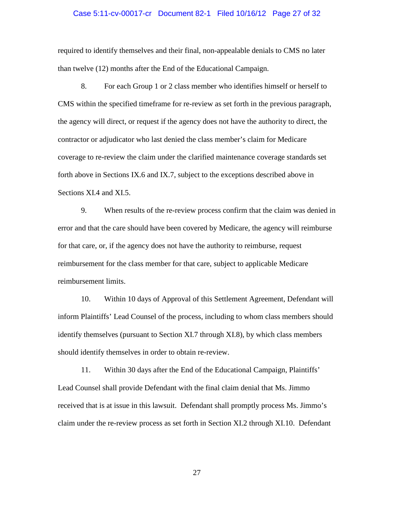### Case 5:11-cv-00017-cr Document 82-1 Filed 10/16/12 Page 27 of 32

required to identify themselves and their final, non-appealable denials to CMS no later than twelve (12) months after the End of the Educational Campaign.

<span id="page-26-0"></span>8. For each Group 1 or 2 class member who identifies himself or herself to CMS within the specified timeframe for re-review as set forth in the previous paragraph, the agency will direct, or request if the agency does not have the authority to direct, the contractor or adjudicator who last denied the class member's claim for Medicare coverage to re-review the claim under the clarified maintenance coverage standards set forth above in Sections IX[.6](#page-9-0) and IX.7, subject to the exceptions described above in Sections XI[.4](#page-25-0) and XI[.5.](#page-25-1)

9. When results of the re-review process confirm that the claim was denied in error and that the care should have been covered by Medicare, the agency will reimburse for that care, or, if the agency does not have the authority to reimburse, request reimbursement for the class member for that care, subject to applicable Medicare reimbursement limits.

10. Within 10 days of Approval of this Settlement Agreement, Defendant will inform Plaintiffs' Lead Counsel of the process, including to whom class members should identify themselves (pursuant to Section [XI.](#page-23-0)[7](#page-25-2) through [XI.](#page-23-0)[8\)](#page-26-0), by which class members should identify themselves in order to obtain re-review.

11. Within 30 days after the End of the Educational Campaign, Plaintiffs' Lead Counsel shall provide Defendant with the final claim denial that Ms. Jimmo received that is at issue in this lawsuit. Defendant shall promptly process Ms. Jimmo's claim under the re-review process as set forth in Section XI.2 through XI.10. Defendant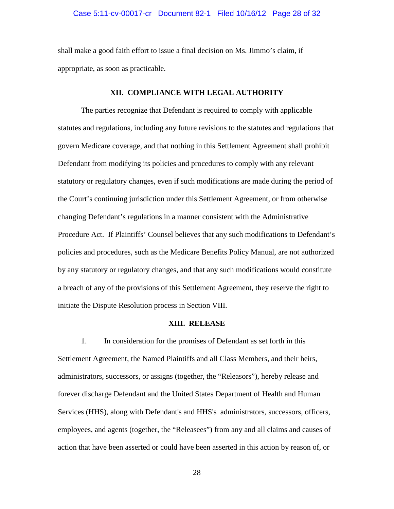### Case 5:11-cv-00017-cr Document 82-1 Filed 10/16/12 Page 28 of 32

shall make a good faith effort to issue a final decision on Ms. Jimmo's claim, if appropriate, as soon as practicable.

# **XII. COMPLIANCE WITH LEGAL AUTHORITY**

 Defendant from modifying its policies and procedures to comply with any relevant Procedure Act. If Plaintiffs' Counsel believes that any such modifications to Defendant's by any statutory or regulatory changes, and that any such modifications would constitute The parties recognize that Defendant is required to comply with applicable statutes and regulations, including any future revisions to the statutes and regulations that govern Medicare coverage, and that nothing in this Settlement Agreement shall prohibit statutory or regulatory changes, even if such modifications are made during the period of the Court's continuing jurisdiction under this Settlement Agreement, or from otherwise changing Defendant's regulations in a manner consistent with the Administrative policies and procedures, such as the Medicare Benefits Policy Manual, are not authorized a breach of any of the provisions of this Settlement Agreement, they reserve the right to initiate the Dispute Resolution process in Section VIII.

## **XIII. RELEASE**

<span id="page-27-1"></span><span id="page-27-0"></span> administrators, successors, or assigns (together, the "Releasors"), hereby release and 1. In consideration for the promises of Defendant as set forth in this Settlement Agreement, the Named Plaintiffs and all Class Members, and their heirs, forever discharge Defendant and the United States Department of Health and Human Services (HHS), along with Defendant's and HHS's administrators, successors, officers, employees, and agents (together, the "Releasees") from any and all claims and causes of action that have been asserted or could have been asserted in this action by reason of, or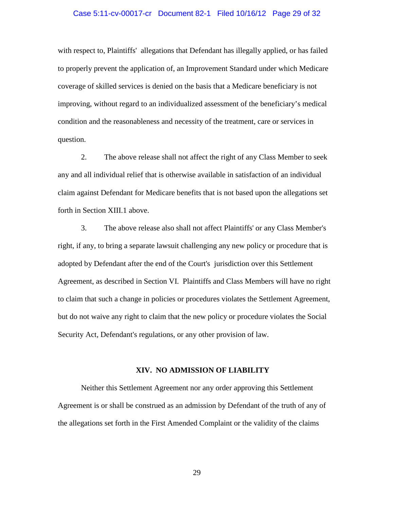### Case 5:11-cv-00017-cr Document 82-1 Filed 10/16/12 Page 29 of 32

with respect to, Plaintiffs' allegations that Defendant has illegally applied, or has failed to properly prevent the application of, an Improvement Standard under which Medicare coverage of skilled services is denied on the basis that a Medicare beneficiary is not improving, without regard to an individualized assessment of the beneficiary's medical condition and the reasonableness and necessity of the treatment, care or services in question.

2. The above release shall not affect the right of any Class Member to seek any and all individual relief that is otherwise available in satisfaction of an individual claim against Defendant for Medicare benefits that is not based upon the allegations set forth in Section [XIII.](#page-27-0)[1](#page-27-1) above.

3. The above release also shall not affect Plaintiffs' or any Class Member's right, if any, to bring a separate lawsuit challenging any new policy or procedure that is adopted by Defendant after the end of the Court's jurisdiction over this Settlement Agreement, as described in Section [VI.](#page-4-0) Plaintiffs and Class Members will have no right to claim that such a change in policies or procedures violates the Settlement Agreement, but do not waive any right to claim that the new policy or procedure violates the Social Security Act, Defendant's regulations, or any other provision of law.

### **XIV. NO ADMISSION OF LIABILITY**

 Agreement is or shall be construed as an admission by Defendant of the truth of any of the allegations set forth in the First Amended Complaint or the validity of the claims Neither this Settlement Agreement nor any order approving this Settlement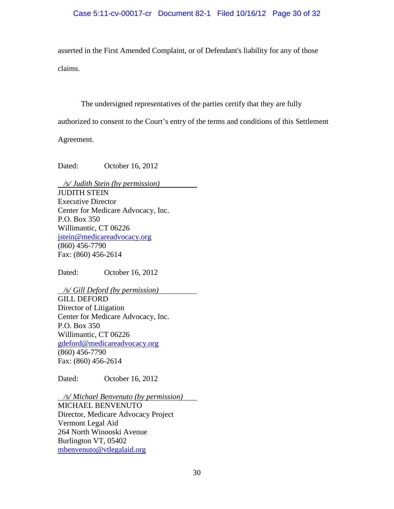# Case 5:11-cv-00017-cr Document 82-1 Filed 10/16/12 Page 30 of 32

asserted in the First Amended Complaint, or of Defendant's liability for any of those claims.

The undersigned representatives of the parties certify that they are fully

authorized to consent to the Court's entry of the terms and conditions of this Settlement

Agreement.

Dated: October 16, 2012

 */s/ Judith Stein (by permission)*  [jstein@medicareadvocacy.org](mailto:jstein@medicareadvocacy.org)  JUDITH STEIN Executive Director Center for Medicare Advocacy, Inc. P.O. Box 350 Willimantic, CT 06226 (860) 456-7790 Fax: (860) 456-2614

Dated: October 16, 2012

 */s/ Gill Deford (by permission)*  g<u>deford@medicareadvocacy.org</u><br>(860) 456-7790 GILL DEFORD Director of Litigation Center for Medicare Advocacy, Inc. P.O. Box 350 Willimantic, CT 06226 Fax: (860) 456-2614

Dated: October 16, 2012

 $\overline{a}$ */s/ Michael Benvenuto (by permission)* 

 264 North Winooski Avenue mbenvenuto@vtlegalaid.org<br>30 MICHAEL BENVENUTO Director, Medicare Advocacy Project Vermont Legal Aid Burlington VT, 05402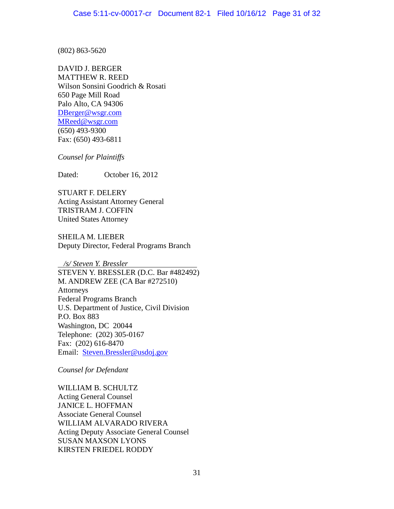(802) 863-5620

DBerger@wsgr.com j. DAVID J. BERGER MATTHEW R. REED Wilson Sonsini Goodrich & Rosati 650 Page Mill Road Palo Alto, CA 94306 DBerger@wsgr.com<br><mark>MReed@wsgr.com</mark><br>(650) 493-9300 Fax: (650) 493-6811

*Counsel for Plaintiffs* 

Dated: October 16, 2012

STUART F. DELERY Acting Assistant Attorney General TRISTRAM J. COFFIN United States Attorney

SHEILA M. LIEBER Deputy Director, Federal Programs Branch

 */s/ Steven Y. Bressler*  STEVEN Y. BRESSLER (D.C. Bar #482492) M. ANDREW ZEE (CA Bar #272510) Telephone: (202) 305-0167 Email: **Steven.Bressler@usdoj.gov** Attorneys Federal Programs Branch U.S. Department of Justice, Civil Division P.O. Box 883 Washington, DC 20044 Fax: (202) 616-8470

*Counsel for Defendant* 

 WILLIAM B. SCHULTZ Acting Deputy Associate General Counsel<br>SUSAN MAXSON LYONS<br>KIRSTEN FRIEDEL RODDY **SUSAN MAXSON LYONS** Acting General Counsel JANICE L. HOFFMAN Associate General Counsel WILLIAM ALVARADO RIVERA